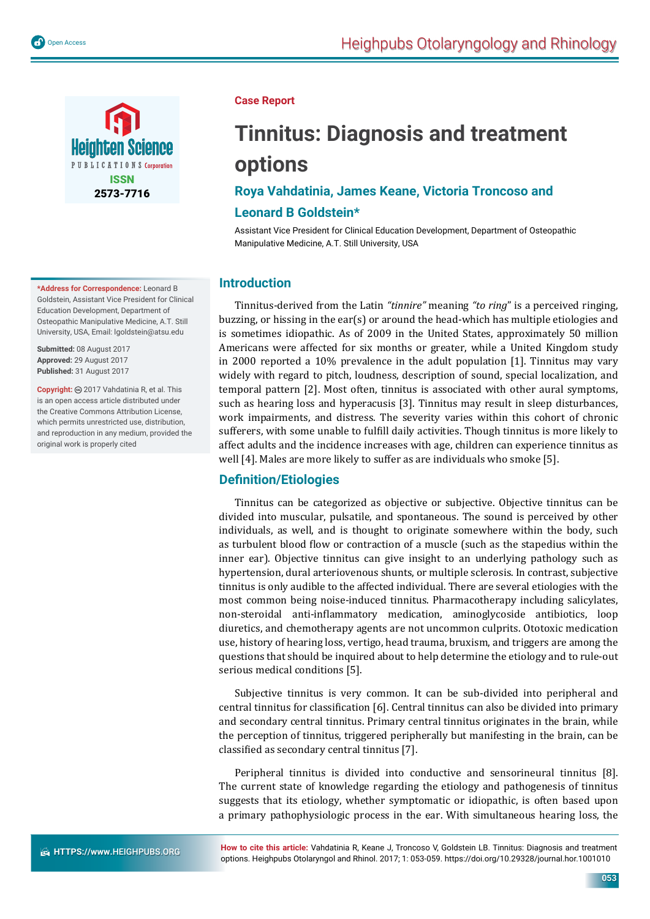

**\*Address for Correspondence:** Leonard B Goldstein, Assistant Vice President for Clinical Education Development, Department of Osteopathic Manipulative Medicine, A.T. Still University, USA, Email: lgoldstein@atsu.edu.

**Submitted:** 08 August 2017 **Approved:** 29 August 2017 **Published:** 31 August 2017

**Copyright:** @ 2017 Vahdatinia R, et al. This is an open access article distributed under the Creative Commons Attribution License, which permits unrestricted use, distribution, and reproduction in any medium, provided the original work is properly cited

#### **Case Report**

# **Tinnitus: Diagnosis and treatment options**

# **Roya Vahdatinia, James Keane, Victoria Troncoso and**

## **Leonard B Goldstein\***

Assistant Vice President for Clinical Education Development, Department of Osteopathic Manipulative Medicine, A.T. Still University, USA

## **Introduction**

Tinnitus-derived from the Latin *"tinnire"* meaning *"to ring*" is a perceived ringing, buzzing, or hissing in the ear(s) or around the head-which has multiple etiologies and is sometimes idiopathic. As of 2009 in the United States, approximately 50 million Americans were affected for six months or greater, while a United Kingdom study in 2000 reported a 10% prevalence in the adult population [1]. Tinnitus may vary widely with regard to pitch, loudness, description of sound, special localization, and temporal pattern [2]. Most often, tinnitus is associated with other aural symptoms, such as hearing loss and hyperacusis [3]. Tinnitus may result in sleep disturbances, work impairments, and distress. The severity varies within this cohort of chronic sufferers, with some unable to fulfill daily activities. Though tinnitus is more likely to affect adults and the incidence increases with age, children can experience tinnitus as well [4]. Males are more likely to suffer as are individuals who smoke [5].

## **Defi nition/Etiologies**

Tinnitus can be categorized as objective or subjective. Objective tinnitus can be divided into muscular, pulsatile, and spontaneous. The sound is perceived by other individuals, as well, and is thought to originate somewhere within the body, such as turbulent blood flow or contraction of a muscle (such as the stapedius within the inner ear). Objective tinnitus can give insight to an underlying pathology such as hypertension, dural arteriovenous shunts, or multiple sclerosis. In contrast, subjective tinnitus is only audible to the affected individual. There are several etiologies with the most common being noise-induced tinnitus. Pharmacotherapy including salicylates, non-steroidal anti-inflammatory medication, aminoglycoside antibiotics, loop diuretics, and chemotherapy agents are not uncommon culprits. Ototoxic medication use, history of hearing loss, vertigo, head trauma, bruxism, and triggers are among the questions that should be inquired about to help determine the etiology and to rule-out serious medical conditions [5].

Subjective tinnitus is very common. It can be sub-divided into peripheral and central tinnitus for classification [6]. Central tinnitus can also be divided into primary and secondary central tinnitus. Primary central tinnitus originates in the brain, while the perception of tinnitus, triggered peripherally but manifesting in the brain, can be classified as secondary central tinnitus [7].

Peripheral tinnitus is divided into conductive and sensorineural tinnitus [8]. The current state of knowledge regarding the etiology and pathogenesis of tinnitus suggests that its etiology, whether symptomatic or idiopathic, is often based upon a primary pathophysiologic process in the ear. With simultaneous hearing loss, the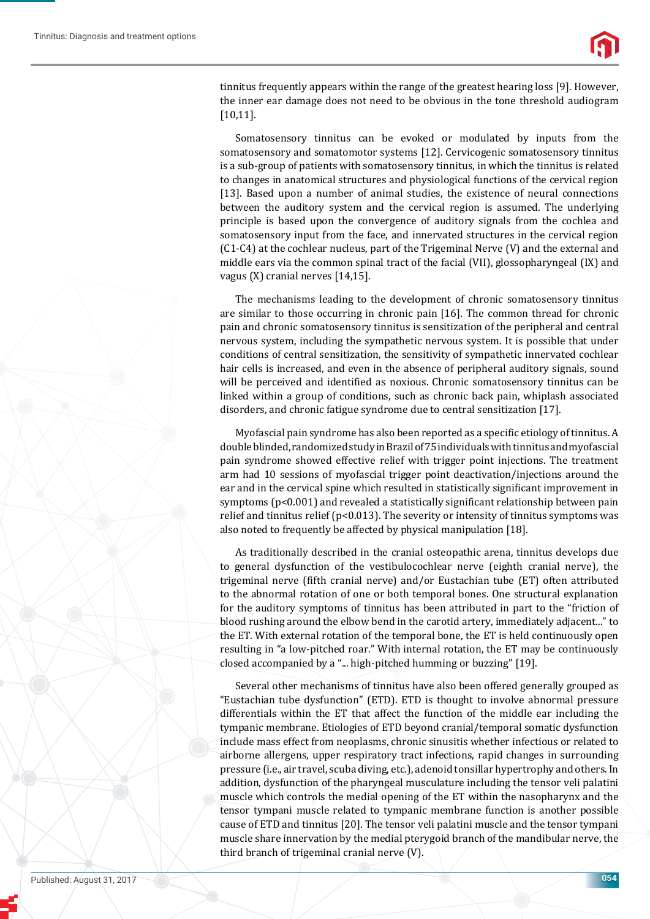

tinnitus frequently appears within the range of the greatest hearing loss [9]. However, the inner ear damage does not need to be obvious in the tone threshold audiogram [10,11].

Somatosensory tinnitus can be evoked or modulated by inputs from the somatosensory and somatomotor systems [12]. Cervicogenic somatosensory tinnitus is a sub-group of patients with somatosensory tinnitus, in which the tinnitus is related to changes in anatomical structures and physiological functions of the cervical region [13]. Based upon a number of animal studies, the existence of neural connections between the auditory system and the cervical region is assumed. The underlying principle is based upon the convergence of auditory signals from the cochlea and somatosensory input from the face, and innervated structures in the cervical region (C1-C4) at the cochlear nucleus, part of the Trigeminal Nerve (V) and the external and middle ears via the common spinal tract of the facial (VII), glossopharyngeal (IX) and vagus (X) cranial nerves [14,15].

The mechanisms leading to the development of chronic somatosensory tinnitus are similar to those occurring in chronic pain [16]. The common thread for chronic pain and chronic somatosensory tinnitus is sensitization of the peripheral and central nervous system, including the sympathetic nervous system. It is possible that under conditions of central sensitization, the sensitivity of sympathetic innervated cochlear hair cells is increased, and even in the absence of peripheral auditory signals, sound will be perceived and identified as noxious. Chronic somatosensory tinnitus can be linked within a group of conditions, such as chronic back pain, whiplash associated disorders, and chronic fatigue syndrome due to central sensitization [17].

Myofascial pain syndrome has also been reported as a specific etiology of tinnitus. A double blinded, randomized study in Brazil of 75 individuals with tinnitus and myofascial pain syndrome showed effective relief with trigger point injections. The treatment arm had 10 sessions of myofascial trigger point deactivation/injections around the ear and in the cervical spine which resulted in statistically significant improvement in symptoms ( $p<0.001$ ) and revealed a statistically significant relationship between pain relief and tinnitus relief ( $p$ <0.013). The severity or intensity of tinnitus symptoms was also noted to frequently be affected by physical manipulation [18].

As traditionally described in the cranial osteopathic arena, tinnitus develops due to general dysfunction of the vestibulocochlear nerve (eighth cranial nerve), the trigeminal nerve (fifth cranial nerve) and/or Eustachian tube (ET) often attributed to the abnormal rotation of one or both temporal bones. One structural explanation for the auditory symptoms of tinnitus has been attributed in part to the "friction of blood rushing around the elbow bend in the carotid artery, immediately adjacent..." to the ET. With external rotation of the temporal bone, the ET is held continuously open resulting in "a low-pitched roar." With internal rotation, the ET may be continuously closed accompanied by a "... high-pitched humming or buzzing" [19].

Several other mechanisms of tinnitus have also been offered generally grouped as "Eustachian tube dysfunction" (ETD). ETD is thought to involve abnormal pressure differentials within the ET that affect the function of the middle ear including the tympanic membrane. Etiologies of ETD beyond cranial/temporal somatic dysfunction include mass effect from neoplasms, chronic sinusitis whether infectious or related to airborne allergens, upper respiratory tract infections, rapid changes in surrounding pressure (i.e., air travel, scuba diving, etc.), adenoid tonsillar hypertrophy and others. In addition, dysfunction of the pharyngeal musculature including the tensor veli palatini muscle which controls the medial opening of the ET within the nasopharynx and the tensor tympani muscle related to tympanic membrane function is another possible cause of ETD and tinnitus [20]. The tensor veli palatini muscle and the tensor tympani muscle share innervation by the medial pterygoid branch of the mandibular nerve, the third branch of trigeminal cranial nerve (V).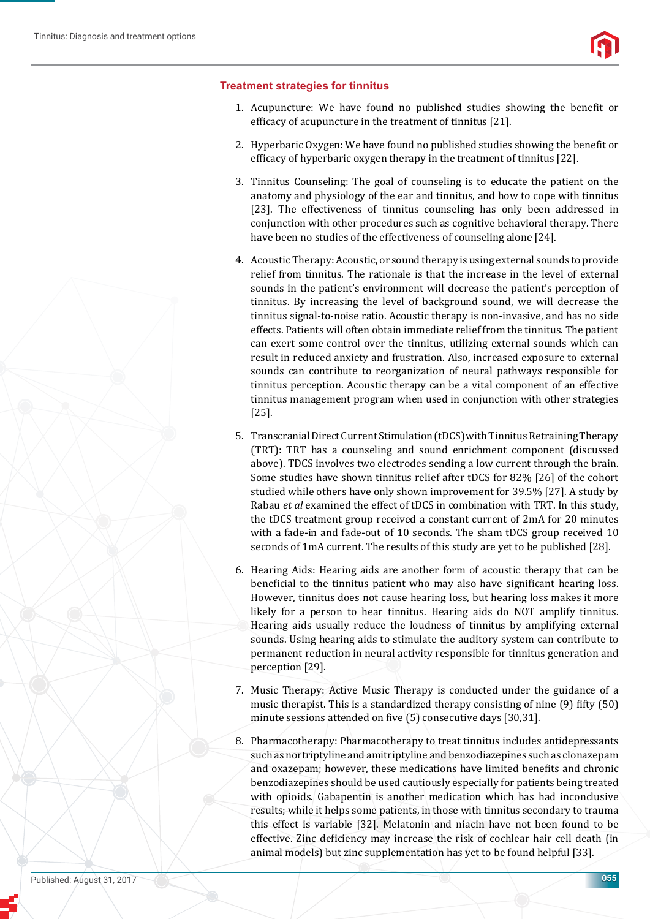#### **Treatment strategies for tinnitus**

- 1. Acupuncture: We have found no published studies showing the benefit or efficacy of acupuncture in the treatment of tinnitus  $[21]$ .
- 2. Hyperbaric Oxygen: We have found no published studies showing the benefit or efficacy of hyperbaric oxygen therapy in the treatment of tinnitus [22].
- 3. Tinnitus Counseling: The goal of counseling is to educate the patient on the anatomy and physiology of the ear and tinnitus, and how to cope with tinnitus [23]. The effectiveness of tinnitus counseling has only been addressed in conjunction with other procedures such as cognitive behavioral therapy. There have been no studies of the effectiveness of counseling alone [24].
- 4. Acoustic Therapy: Acoustic, or sound therapy is using external sounds to provide relief from tinnitus. The rationale is that the increase in the level of external sounds in the patient's environment will decrease the patient's perception of tinnitus. By increasing the level of background sound, we will decrease the tinnitus signal-to-noise ratio. Acoustic therapy is non-invasive, and has no side effects. Patients will often obtain immediate relief from the tinnitus. The patient can exert some control over the tinnitus, utilizing external sounds which can result in reduced anxiety and frustration. Also, increased exposure to external sounds can contribute to reorganization of neural pathways responsible for tinnitus perception. Acoustic therapy can be a vital component of an effective tinnitus management program when used in conjunction with other strategies [25].
- 5. Transcranial Direct Current Stimulation (tDCS) with Tinnitus Retraining Therapy (TRT): TRT has a counseling and sound enrichment component (discussed above). TDCS involves two electrodes sending a low current through the brain. Some studies have shown tinnitus relief after tDCS for 82% [26] of the cohort studied while others have only shown improvement for 39.5% [27]. A study by Rabau *et al* examined the effect of tDCS in combination with TRT. In this study, the tDCS treatment group received a constant current of 2mA for 20 minutes with a fade-in and fade-out of 10 seconds. The sham tDCS group received 10 seconds of 1mA current. The results of this study are yet to be published [28].
- 6. Hearing Aids: Hearing aids are another form of acoustic therapy that can be beneficial to the tinnitus patient who may also have significant hearing loss. However, tinnitus does not cause hearing loss, but hearing loss makes it more likely for a person to hear tinnitus. Hearing aids do NOT amplify tinnitus. Hearing aids usually reduce the loudness of tinnitus by amplifying external sounds. Using hearing aids to stimulate the auditory system can contribute to permanent reduction in neural activity responsible for tinnitus generation and perception [29].
- 7. Music Therapy: Active Music Therapy is conducted under the guidance of a music therapist. This is a standardized therapy consisting of nine (9) fifty (50) minute sessions attended on five (5) consecutive days [30,31].
- 8. Pharmacotherapy: Pharmacotherapy to treat tinnitus includes antidepressants such as nortriptyline and amitriptyline and benzodiazepines such as clonazepam and oxazepam; however, these medications have limited benefits and chronic benzodiazepines should be used cautiously especially for patients being treated with opioids. Gabapentin is another medication which has had inconclusive results; while it helps some patients, in those with tinnitus secondary to trauma this effect is variable [32]. Melatonin and niacin have not been found to be effective. Zinc deficiency may increase the risk of cochlear hair cell death (in animal models) but zinc supplementation has yet to be found helpful [33].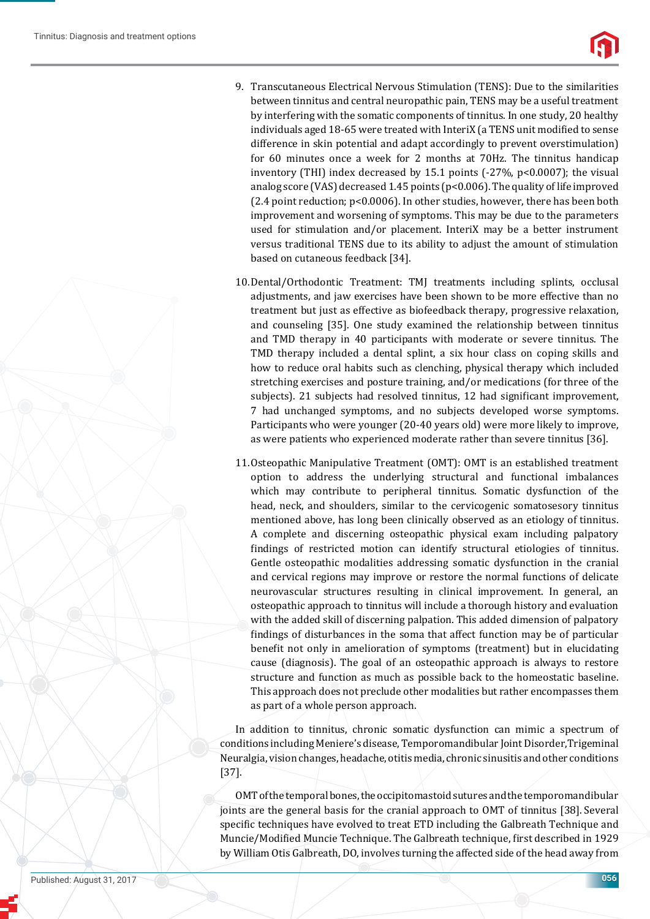

- 9. Transcutaneous Electrical Nervous Stimulation (TENS): Due to the similarities between tinnitus and central neuropathic pain, TENS may be a useful treatment by interfering with the somatic components of tinnitus. In one study, 20 healthy individuals aged 18-65 were treated with InteriX (a TENS unit modified to sense difference in skin potential and adapt accordingly to prevent overstimulation) for 60 minutes once a week for 2 months at 70Hz. The tinnitus handicap inventory (THI) index decreased by 15.1 points (-27%, p<0.0007); the visual analog score (VAS) decreased 1.45 points (p<0.006). The quality of life improved (2.4 point reduction; p<0.0006). In other studies, however, there has been both improvement and worsening of symptoms. This may be due to the parameters used for stimulation and/or placement. InteriX may be a better instrument versus traditional TENS due to its ability to adjust the amount of stimulation based on cutaneous feedback [34].
- 10. Dental/Orthodontic Treatment: TMJ treatments including splints, occlusal adjustments, and jaw exercises have been shown to be more effective than no treatment but just as effective as biofeedback therapy, progressive relaxation, and counseling [35]. One study examined the relationship between tinnitus and TMD therapy in 40 participants with moderate or severe tinnitus. The TMD therapy included a dental splint, a six hour class on coping skills and how to reduce oral habits such as clenching, physical therapy which included stretching exercises and posture training, and/or medications (for three of the subjects). 21 subjects had resolved tinnitus, 12 had significant improvement, 7 had unchanged symptoms, and no subjects developed worse symptoms. Participants who were younger (20-40 years old) were more likely to improve, as were patients who experienced moderate rather than severe tinnitus [36].
- 11. Osteopathic Manipulative Treatment (OMT): OMT is an established treatment option to address the underlying structural and functional imbalances which may contribute to peripheral tinnitus. Somatic dysfunction of the head, neck, and shoulders, similar to the cervicogenic somatosesory tinnitus mentioned above, has long been clinically observed as an etiology of tinnitus. A complete and discerning osteopathic physical exam including palpatory findings of restricted motion can identify structural etiologies of tinnitus. Gentle osteopathic modalities addressing somatic dysfunction in the cranial and cervical regions may improve or restore the normal functions of delicate neurovascular structures resulting in clinical improvement. In general, an osteopathic approach to tinnitus will include a thorough history and evaluation with the added skill of discerning palpation. This added dimension of palpatory findings of disturbances in the soma that affect function may be of particular benefit not only in amelioration of symptoms (treatment) but in elucidating cause (diagnosis). The goal of an osteopathic approach is always to restore structure and function as much as possible back to the homeostatic baseline. This approach does not preclude other modalities but rather encompasses them as part of a whole person approach.

In addition to tinnitus, chronic somatic dysfunction can mimic a spectrum of conditions including Meniere's disease, Temporomandibular Joint Disorder,Trigeminal Neuralgia, vision changes, headache, otitis media, chronic sinusitis and other conditions [37].

OMT of the temporal bones, the occipitomastoid sutures and the temporomandibular joints are the general basis for the cranial approach to OMT of tinnitus [38]. Several specific techniques have evolved to treat ETD including the Galbreath Technique and Muncie/Modified Muncie Technique. The Galbreath technique, first described in 1929 by William Otis Galbreath, DO, involves turning the affected side of the head away from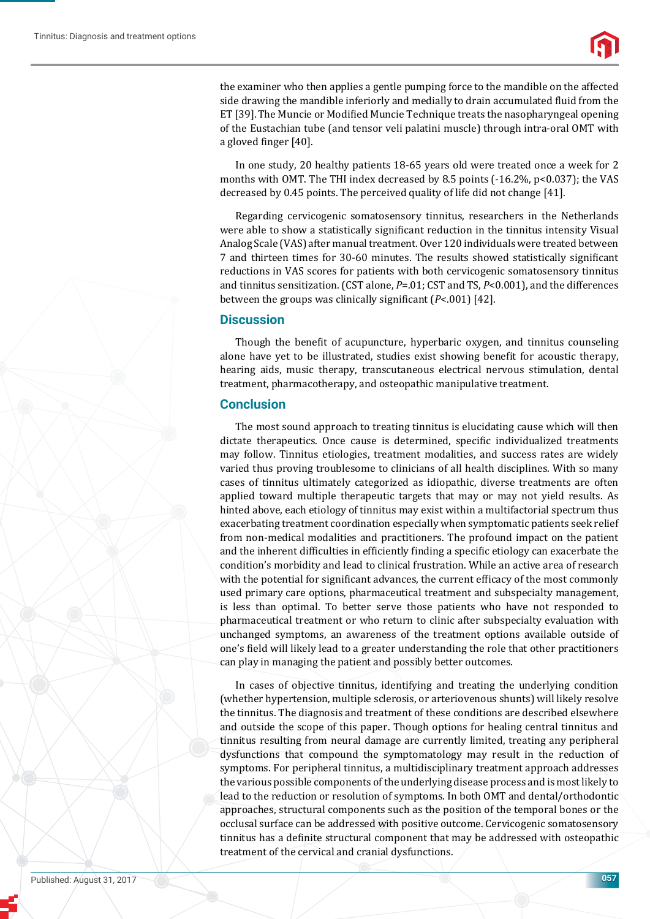

the examiner who then applies a gentle pumping force to the mandible on the affected side drawing the mandible inferiorly and medially to drain accumulated fluid from the ET [39]. The Muncie or Modified Muncie Technique treats the nasopharyngeal opening of the Eustachian tube (and tensor veli palatini muscle) through intra-oral OMT with a gloved finger  $[40]$ .

In one study, 20 healthy patients 18-65 years old were treated once a week for 2 months with OMT. The THI index decreased by 8.5 points  $(-16.2\%, p<0.037)$ ; the VAS decreased by 0.45 points. The perceived quality of life did not change [41].

Regarding cervicogenic somatosensory tinnitus, researchers in the Netherlands were able to show a statistically significant reduction in the tinnitus intensity Visual Analog Scale (VAS) after manual treatment. Over 120 individuals were treated between 7 and thirteen times for 30-60 minutes. The results showed statistically significant reductions in VAS scores for patients with both cervicogenic somatosensory tinnitus and tinnitus sensitization. (CST alone, *P*=.01; CST and TS, *P*<0.001), and the differences between the groups was clinically significant ( $P$ <.001) [42].

#### **Discussion**

Though the benefit of acupuncture, hyperbaric oxygen, and tinnitus counseling alone have yet to be illustrated, studies exist showing benefit for acoustic therapy, hearing aids, music therapy, transcutaneous electrical nervous stimulation, dental treatment, pharmacotherapy, and osteopathic manipulative treatment.

### **Conclusion**

The most sound approach to treating tinnitus is elucidating cause which will then dictate therapeutics. Once cause is determined, specific individualized treatments may follow. Tinnitus etiologies, treatment modalities, and success rates are widely varied thus proving troublesome to clinicians of all health disciplines. With so many cases of tinnitus ultimately categorized as idiopathic, diverse treatments are often applied toward multiple therapeutic targets that may or may not yield results. As hinted above, each etiology of tinnitus may exist within a multifactorial spectrum thus exacerbating treatment coordination especially when symptomatic patients seek relief from non-medical modalities and practitioners. The profound impact on the patient and the inherent difficulties in efficiently finding a specific etiology can exacerbate the condition's morbidity and lead to clinical frustration. While an active area of research with the potential for significant advances, the current efficacy of the most commonly used primary care options, pharmaceutical treatment and subspecialty management, is less than optimal. To better serve those patients who have not responded to pharmaceutical treatment or who return to clinic after subspecialty evaluation with unchanged symptoms, an awareness of the treatment options available outside of one's ϐield will likely lead to a greater understanding the role that other practitioners can play in managing the patient and possibly better outcomes.

In cases of objective tinnitus, identifying and treating the underlying condition (whether hypertension, multiple sclerosis, or arteriovenous shunts) will likely resolve the tinnitus. The diagnosis and treatment of these conditions are described elsewhere and outside the scope of this paper. Though options for healing central tinnitus and tinnitus resulting from neural damage are currently limited, treating any peripheral dysfunctions that compound the symptomatology may result in the reduction of symptoms. For peripheral tinnitus, a multidisciplinary treatment approach addresses the various possible components of the underlying disease process and is most likely to lead to the reduction or resolution of symptoms. In both OMT and dental/orthodontic approaches, structural components such as the position of the temporal bones or the occlusal surface can be addressed with positive outcome. Cervicogenic somatosensory tinnitus has a definite structural component that may be addressed with osteopathic treatment of the cervical and cranial dysfunctions.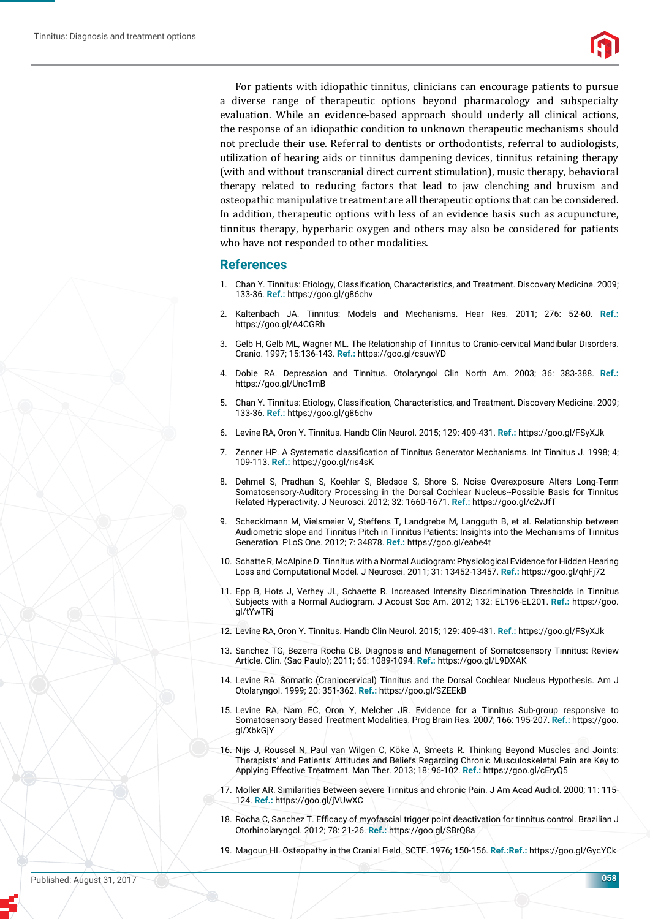For patients with idiopathic tinnitus, clinicians can encourage patients to pursue a diverse range of therapeutic options beyond pharmacology and subspecialty evaluation. While an evidence-based approach should underly all clinical actions, the response of an idiopathic condition to unknown therapeutic mechanisms should not preclude their use. Referral to dentists or orthodontists, referral to audiologists, utilization of hearing aids or tinnitus dampening devices, tinnitus retaining therapy (with and without transcranial direct current stimulation), music therapy, behavioral therapy related to reducing factors that lead to jaw clenching and bruxism and osteopathic manipulative treatment are all therapeutic options that can be considered. In addition, therapeutic options with less of an evidence basis such as acupuncture, tinnitus therapy, hyperbaric oxygen and others may also be considered for patients who have not responded to other modalities.

#### **References**

- 1. Chan Y. Tinnitus: Etiology, Classification, Characteristics, and Treatment. Discovery Medicine. 2009; 133-36. **Ref.:** https://goo.gl/g86chv
- 2. Kaltenbach JA. Tinnitus: Models and Mechanisms. Hear Res. 2011; 276: 52-60. **Ref.:** https://goo.gl/A4CGRh
- 3. Gelb H, Gelb ML, Wagner ML. The Relationship of Tinnitus to Cranio-cervical Mandibular Disorders. Cranio. 1997; 15:136-143. **Ref.:** https://goo.gl/csuwYD
- 4. Dobie RA. Depression and Tinnitus. Otolaryngol Clin North Am. 2003; 36: 383-388. **Ref.:** https://goo.gl/Unc1mB
- 5. Chan Y. Tinnitus: Etiology, Classification, Characteristics, and Treatment. Discovery Medicine. 2009; 133-36. **Ref.:** https://goo.gl/g86chv
- 6. Levine RA, Oron Y. Tinnitus. Handb Clin Neurol. 2015; 129: 409-431. **Ref.:** https://goo.gl/FSyXJk
- 7. Zenner HP. A Systematic classification of Tinnitus Generator Mechanisms. Int Tinnitus J. 1998; 4; 109-113. **Ref.:** https://goo.gl/ris4sK
- 8. Dehmel S, Pradhan S, Koehler S, Bledsoe S, Shore S. Noise Overexposure Alters Long-Term Somatosensory-Auditory Processing in the Dorsal Cochlear Nucleus--Possible Basis for Tinnitus Related Hyperactivity. J Neurosci. 2012; 32: 1660-1671. **Ref.:** https://goo.gl/c2vJfT
- 9. Schecklmann M, Vielsmeier V, Steffens T, Landgrebe M, Langguth B, et al. Relationship between Audiometric slope and Tinnitus Pitch in Tinnitus Patients: Insights into the Mechanisms of Tinnitus Generation. PLoS One. 2012; 7: 34878. **Ref.:** https://goo.gl/eabe4t
- 10. Schatte R, McAlpine D. Tinnitus with a Normal Audiogram: Physiological Evidence for Hidden Hearing Loss and Computational Model. J Neurosci. 2011; 31: 13452-13457. **Ref.:** https://goo.gl/qhFj72
- 11. Epp B, Hots J, Verhey JL, Schaette R. Increased Intensity Discrimination Thresholds in Tinnitus Subjects with a Normal Audiogram. J Acoust Soc Am. 2012; 132: EL196-EL201. **Ref.:** https://goo. gl/tYwTRj
- 12. Levine RA, Oron Y. Tinnitus. Handb Clin Neurol. 2015; 129: 409-431. **Ref.:** https://goo.gl/FSyXJk
- 13. Sanchez TG, Bezerra Rocha CB. Diagnosis and Management of Somatosensory Tinnitus: Review Article. Clin. (Sao Paulo); 2011; 66: 1089-1094. **Ref.:** https://goo.gl/L9DXAK
- 14. Levine RA. Somatic (Craniocervical) Tinnitus and the Dorsal Cochlear Nucleus Hypothesis. Am J Otolaryngol. 1999; 20: 351-362. **Ref.:** https://goo.gl/SZEEkB
- 15. Levine RA, Nam EC, Oron Y, Melcher JR. Evidence for a Tinnitus Sub-group responsive to Somatosensory Based Treatment Modalities. Prog Brain Res. 2007; 166: 195-207. **Ref.:** https://goo. gl/XbkGjY
- 16. Nijs J, Roussel N, Paul van Wilgen C, Köke A, Smeets R. Thinking Beyond Muscles and Joints: Therapists' and Patients' Attitudes and Beliefs Regarding Chronic Musculoskeletal Pain are Key to Applying Effective Treatment. Man Ther. 2013; 18: 96-102. **Ref.:** https://goo.gl/cEryQ5
- 17. Moller AR. Similarities Between severe Tinnitus and chronic Pain. J Am Acad Audiol. 2000; 11: 115- 124. **Ref.:** https://goo.gl/jVUwXC
- 18. Rocha C, Sanchez T. Efficacy of myofascial trigger point deactivation for tinnitus control. Brazilian J Otorhinolaryngol. 2012; 78: 21-26. **Ref.:** https://goo.gl/SBrQ8a
- 19. Magoun HI. Osteopathy in the Cranial Field. SCTF. 1976; 150-156. **Ref.:Ref.:** https://goo.gl/GycYCk